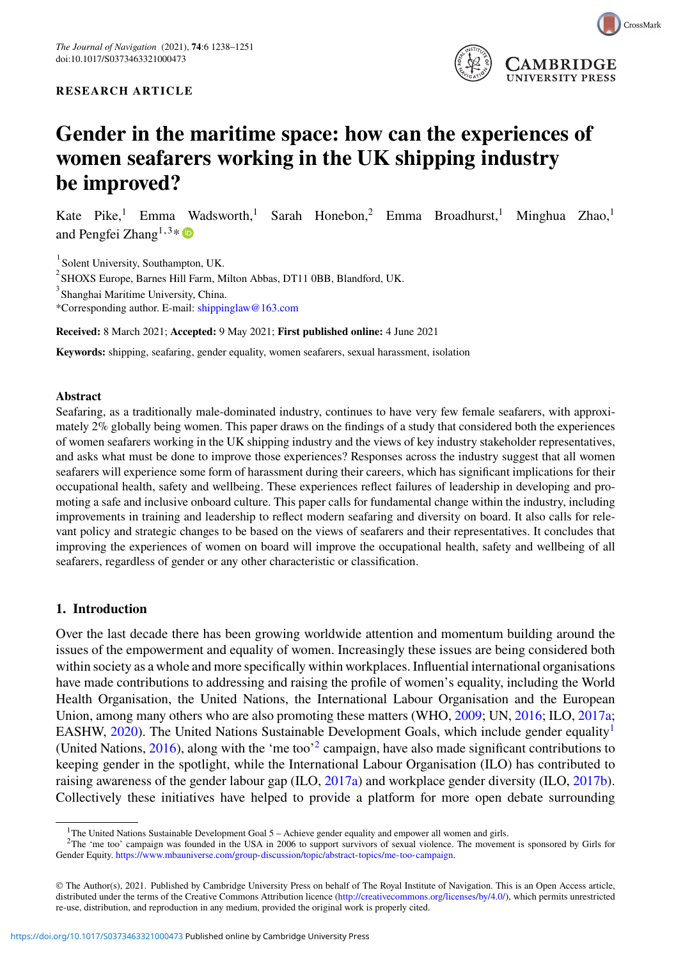

# **Gender in the maritime space: how can the experiences of women seafarers working in the UK shipping industry be improved?**

Kate Pike,<sup>1</sup> Emma Wadsworth,<sup>1</sup> Sarah Honebon,<sup>2</sup> Emma Broadhurst,<sup>1</sup> Minghua Zhao,<sup>1</sup> and Pengfei Zhang<sup>1,3\*</sup>

<sup>1</sup> Solent University, Southampton, UK.

 $^{2}$ SHOXS Europe, Barnes Hill Farm, Milton Abbas, DT11 0BB, Blandford, UK.

<sup>3</sup> Shanghai Maritime University, China.

\*Corresponding author. E-mail: [shippinglaw@163.com](mailto:shippinglaw@163.com)

**Received:** 8 March 2021; **Accepted:** 9 May 2021; **First published online:** 4 June 2021

**Keywords:** shipping, seafaring, gender equality, women seafarers, sexual harassment, isolation

#### **Abstract**

Seafaring, as a traditionally male-dominated industry, continues to have very few female seafarers, with approximately 2% globally being women. This paper draws on the findings of a study that considered both the experiences of women seafarers working in the UK shipping industry and the views of key industry stakeholder representatives, and asks what must be done to improve those experiences? Responses across the industry suggest that all women seafarers will experience some form of harassment during their careers, which has significant implications for their occupational health, safety and wellbeing. These experiences reflect failures of leadership in developing and promoting a safe and inclusive onboard culture. This paper calls for fundamental change within the industry, including improvements in training and leadership to reflect modern seafaring and diversity on board. It also calls for relevant policy and strategic changes to be based on the views of seafarers and their representatives. It concludes that improving the experiences of women on board will improve the occupational health, safety and wellbeing of all seafarers, regardless of gender or any other characteristic or classification.

#### **1. Introduction**

Over the last decade there has been growing worldwide attention and momentum building around the issues of the empowerment and equality of women. Increasingly these issues are being considered both within society as a whole and more specifically within workplaces. Influential international organisations have made contributions to addressing and raising the profile of women's equality, including the World Health Organisation, the United Nations, the International Labour Organisation and the European Union, among many others who are also promoting these matters (WHO, [2009;](#page-12-0) UN, [2016;](#page-12-1) ILO, [2017a;](#page-11-0) EASHW, [2020\)](#page-11-1). The United Nations Sustainable Development Goals, which include gender equality<sup>1</sup> (United Nations, [2016\)](#page-12-1), along with the 'me too'[2](#page-0-1) campaign, have also made significant contributions to keeping gender in the spotlight, while the International Labour Organisation (ILO) has contributed to raising awareness of the gender labour gap (ILO, [2017a\)](#page-11-0) and workplace gender diversity (ILO, [2017b\)](#page-11-2). Collectively these initiatives have helped to provide a platform for more open debate surrounding

<span id="page-0-0"></span><sup>&</sup>lt;sup>1</sup>The United Nations Sustainable Development Goal 5 – Achieve gender equality and empower all women and girls.

<span id="page-0-1"></span><sup>2</sup>The 'me too' campaign was founded in the USA in 2006 to support survivors of sexual violence. The movement is sponsored by Girls for Gender Equity. [https://www.mbauniverse.com/group-discussion/topic/abstract-topics/me-too-campaign.](https://www.mbauniverse.com/group-discussion/topic/abstract-topics/me-too-campaign)

<sup>©</sup> The Author(s), 2021. Published by Cambridge University Press on behalf of The Royal Institute of Navigation. This is an Open Access article, distributed under the terms of the Creative Commons Attribution licence [\(http://creativecommons.org/licenses/by/4.0/\)](http://creativecommons.org/licenses/by/4.0/), which permits unrestricted re-use, distribution, and reproduction in any medium, provided the original work is properly cited.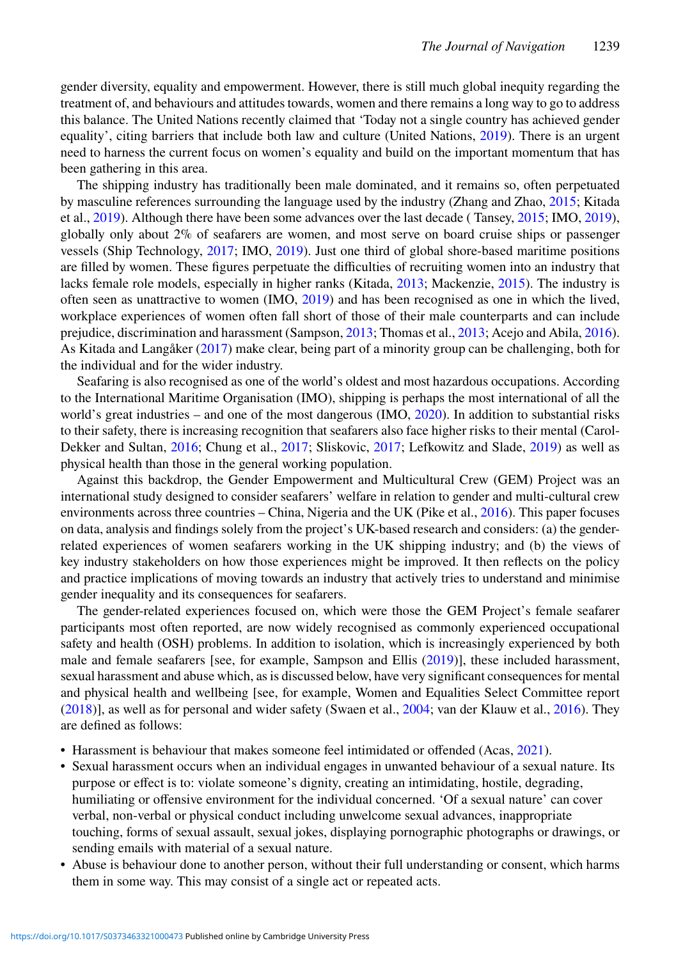gender diversity, equality and empowerment. However, there is still much global inequity regarding the treatment of, and behaviours and attitudes towards, women and there remains a long way to go to address this balance. The United Nations recently claimed that 'Today not a single country has achieved gender equality', citing barriers that include both law and culture (United Nations, [2019\)](#page-12-2). There is an urgent need to harness the current focus on women's equality and build on the important momentum that has been gathering in this area.

The shipping industry has traditionally been male dominated, and it remains so, often perpetuated by masculine references surrounding the language used by the industry (Zhang and Zhao, [2015;](#page-13-0) Kitada et al., [2019\)](#page-12-3). Although there have been some advances over the last decade ( Tansey, [2015;](#page-12-4) IMO, [2019\)](#page-11-3), globally only about  $2\%$  of seafarers are women, and most serve on board cruise ships or passenger vessels (Ship Technology, [2017;](#page-12-5) IMO, [2019\)](#page-11-3). Just one third of global shore-based maritime positions are filled by women. These figures perpetuate the difficulties of recruiting women into an industry that lacks female role models, especially in higher ranks (Kitada, [2013;](#page-11-4) Mackenzie, [2015\)](#page-12-6). The industry is often seen as unattractive to women (IMO, [2019\)](#page-11-3) and has been recognised as one in which the lived, workplace experiences of women often fall short of those of their male counterparts and can include prejudice, discrimination and harassment (Sampson, [2013;](#page-12-7) Thomas et al., [2013;](#page-12-8) Acejo and Abila, [2016\)](#page-11-5). As Kitada and Langåker [\(2017\)](#page-12-9) make clear, being part of a minority group can be challenging, both for the individual and for the wider industry.

Seafaring is also recognised as one of the world's oldest and most hazardous occupations. According to the International Maritime Organisation (IMO), shipping is perhaps the most international of all the world's great industries – and one of the most dangerous (IMO, [2020\)](#page-11-6). In addition to substantial risks to their safety, there is increasing recognition that seafarers also face higher risks to their mental (Carol-Dekker and Sultan, [2016;](#page-11-7) Chung et al., [2017;](#page-11-8) Sliskovic, [2017;](#page-12-10) Lefkowitz and Slade, [2019\)](#page-12-11) as well as physical health than those in the general working population.

Against this backdrop, the Gender Empowerment and Multicultural Crew (GEM) Project was an international study designed to consider seafarers' welfare in relation to gender and multi-cultural crew environments across three countries – China, Nigeria and the UK (Pike et al., [2016\)](#page-12-12). This paper focuses on data, analysis and findings solely from the project's UK-based research and considers: (a) the genderrelated experiences of women seafarers working in the UK shipping industry; and (b) the views of key industry stakeholders on how those experiences might be improved. It then reflects on the policy and practice implications of moving towards an industry that actively tries to understand and minimise gender inequality and its consequences for seafarers.

The gender-related experiences focused on, which were those the GEM Project's female seafarer participants most often reported, are now widely recognised as commonly experienced occupational safety and health (OSH) problems. In addition to isolation, which is increasingly experienced by both male and female seafarers [see, for example, Sampson and Ellis [\(2019\)](#page-12-13)], these included harassment, sexual harassment and abuse which, as is discussed below, have very significant consequences for mental and physical health and wellbeing [see, for example, Women and Equalities Select Committee report [\(2018\)](#page-12-14)], as well as for personal and wider safety (Swaen et al., [2004;](#page-12-15) van der Klauw et al., [2016\)](#page-12-16). They are defined as follows:

- Harassment is behaviour that makes someone feel intimidated or offended (Acas, [2021\)](#page-11-9).
- Sexual harassment occurs when an individual engages in unwanted behaviour of a sexual nature. Its purpose or effect is to: violate someone's dignity, creating an intimidating, hostile, degrading, humiliating or offensive environment for the individual concerned. 'Of a sexual nature' can cover verbal, non-verbal or physical conduct including unwelcome sexual advances, inappropriate touching, forms of sexual assault, sexual jokes, displaying pornographic photographs or drawings, or sending emails with material of a sexual nature.
- Abuse is behaviour done to another person, without their full understanding or consent, which harms them in some way. This may consist of a single act or repeated acts.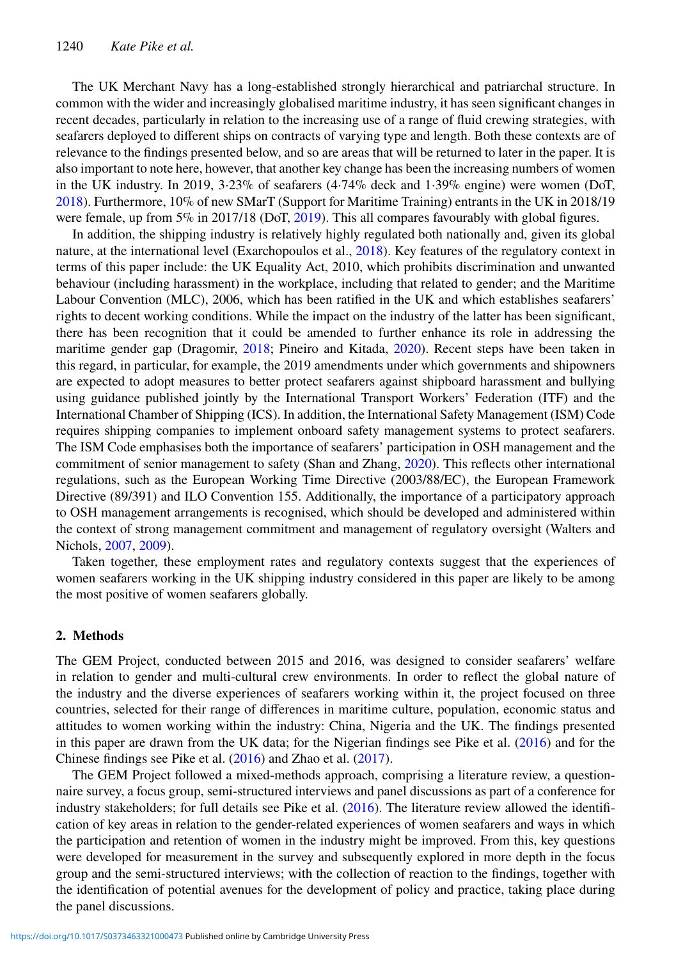The UK Merchant Navy has a long-established strongly hierarchical and patriarchal structure. In common with the wider and increasingly globalised maritime industry, it has seen significant changes in recent decades, particularly in relation to the increasing use of a range of fluid crewing strategies, with seafarers deployed to different ships on contracts of varying type and length. Both these contexts are of relevance to the findings presented below, and so are areas that will be returned to later in the paper. It is also important to note here, however, that another key change has been the increasing numbers of women in the UK industry. In 2019, 3·23% of seafarers (4·74% deck and 1·39% engine) were women (DoT, [2018\)](#page-11-10). Furthermore, 10% of new SMarT (Support for Maritime Training) entrants in the UK in 2018/19 were female, up from  $5\%$  in 2017/18 (DoT, [2019\)](#page-11-11). This all compares favourably with global figures.

In addition, the shipping industry is relatively highly regulated both nationally and, given its global nature, at the international level (Exarchopoulos et al., [2018\)](#page-11-12). Key features of the regulatory context in terms of this paper include: the UK Equality Act, 2010, which prohibits discrimination and unwanted behaviour (including harassment) in the workplace, including that related to gender; and the Maritime Labour Convention (MLC), 2006, which has been ratified in the UK and which establishes seafarers' rights to decent working conditions. While the impact on the industry of the latter has been significant, there has been recognition that it could be amended to further enhance its role in addressing the maritime gender gap (Dragomir, [2018;](#page-11-13) Pineiro and Kitada, [2020\)](#page-12-17). Recent steps have been taken in this regard, in particular, for example, the 2019 amendments under which governments and shipowners are expected to adopt measures to better protect seafarers against shipboard harassment and bullying using guidance published jointly by the International Transport Workers' Federation (ITF) and the International Chamber of Shipping (ICS). In addition, the International Safety Management (ISM) Code requires shipping companies to implement onboard safety management systems to protect seafarers. The ISM Code emphasises both the importance of seafarers' participation in OSH management and the commitment of senior management to safety (Shan and Zhang, [2020\)](#page-12-18). This reflects other international regulations, such as the European Working Time Directive (2003/88/EC), the European Framework Directive (89/391) and ILO Convention 155. Additionally, the importance of a participatory approach to OSH management arrangements is recognised, which should be developed and administered within the context of strong management commitment and management of regulatory oversight (Walters and Nichols, [2007,](#page-12-19) [2009\)](#page-12-20).

Taken together, these employment rates and regulatory contexts suggest that the experiences of women seafarers working in the UK shipping industry considered in this paper are likely to be among the most positive of women seafarers globally.

#### **2. Methods**

The GEM Project, conducted between 2015 and 2016, was designed to consider seafarers' welfare in relation to gender and multi-cultural crew environments. In order to reflect the global nature of the industry and the diverse experiences of seafarers working within it, the project focused on three countries, selected for their range of differences in maritime culture, population, economic status and attitudes to women working within the industry: China, Nigeria and the UK. The findings presented in this paper are drawn from the UK data; for the Nigerian findings see Pike et al. [\(2016\)](#page-12-12) and for the Chinese findings see Pike et al. [\(2016\)](#page-12-12) and Zhao et al. [\(2017\)](#page-13-1).

The GEM Project followed a mixed-methods approach, comprising a literature review, a questionnaire survey, a focus group, semi-structured interviews and panel discussions as part of a conference for industry stakeholders; for full details see Pike et al. [\(2016\)](#page-12-12). The literature review allowed the identification of key areas in relation to the gender-related experiences of women seafarers and ways in which the participation and retention of women in the industry might be improved. From this, key questions were developed for measurement in the survey and subsequently explored in more depth in the focus group and the semi-structured interviews; with the collection of reaction to the findings, together with the identification of potential avenues for the development of policy and practice, taking place during the panel discussions.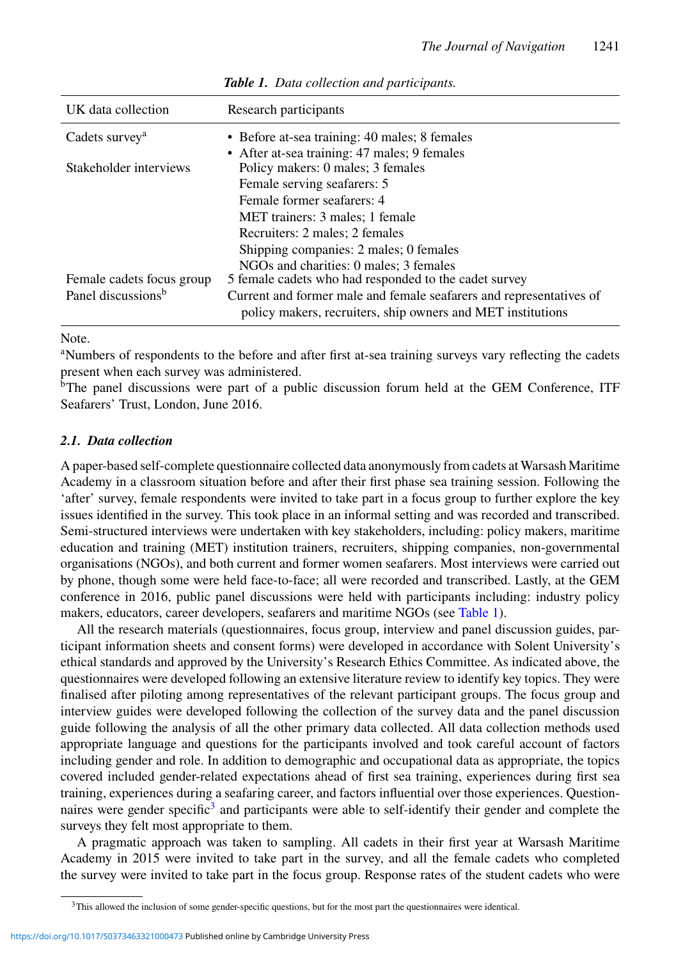| Research participants                                               |
|---------------------------------------------------------------------|
| • Before at-sea training: 40 males; 8 females                       |
| • After at-sea training: 47 males; 9 females                        |
| Policy makers: 0 males; 3 females                                   |
| Female serving seafarers: 5                                         |
| Female former seafarers: 4                                          |
| MET trainers: 3 males; 1 female                                     |
| Recruiters: 2 males: 2 females                                      |
| Shipping companies: 2 males; 0 females                              |
| NGOs and charities: 0 males: 3 females                              |
| 5 female cadets who had responded to the cadet survey               |
| Current and former male and female seafarers and representatives of |
| policy makers, recruiters, ship owners and MET institutions         |
|                                                                     |

<span id="page-3-0"></span>*Table 1. Data collection and participants.*

Note.

a Numbers of respondents to the before and after first at-sea training surveys vary reflecting the cadets present when each survey was administered.

 $b$ The panel discussions were part of a public discussion forum held at the GEM Conference, ITF Seafarers' Trust, London, June 2016.

## *2.1. Data collection*

A paper-based self-complete questionnaire collected data anonymously from cadets at Warsash Maritime Academy in a classroom situation before and after their first phase sea training session. Following the 'after' survey, female respondents were invited to take part in a focus group to further explore the key issues identified in the survey. This took place in an informal setting and was recorded and transcribed. Semi-structured interviews were undertaken with key stakeholders, including: policy makers, maritime education and training (MET) institution trainers, recruiters, shipping companies, non-governmental organisations (NGOs), and both current and former women seafarers. Most interviews were carried out by phone, though some were held face-to-face; all were recorded and transcribed. Lastly, at the GEM conference in 2016, public panel discussions were held with participants including: industry policy makers, educators, career developers, seafarers and maritime NGOs (see [Table 1\)](#page-3-0).

All the research materials (questionnaires, focus group, interview and panel discussion guides, participant information sheets and consent forms) were developed in accordance with Solent University's ethical standards and approved by the University's Research Ethics Committee. As indicated above, the questionnaires were developed following an extensive literature review to identify key topics. They were finalised after piloting among representatives of the relevant participant groups. The focus group and interview guides were developed following the collection of the survey data and the panel discussion guide following the analysis of all the other primary data collected. All data collection methods used appropriate language and questions for the participants involved and took careful account of factors including gender and role. In addition to demographic and occupational data as appropriate, the topics covered included gender-related expectations ahead of first sea training, experiences during first sea training, experiences during a seafaring career, and factors influential over those experiences. Questionnaires were gender specific<sup>3</sup> and participants were able to self-identify their gender and complete the surveys they felt most appropriate to them.

A pragmatic approach was taken to sampling. All cadets in their first year at Warsash Maritime Academy in 2015 were invited to take part in the survey, and all the female cadets who completed the survey were invited to take part in the focus group. Response rates of the student cadets who were

<span id="page-3-1"></span><sup>&</sup>lt;sup>3</sup>This allowed the inclusion of some gender-specific questions, but for the most part the questionnaires were identical.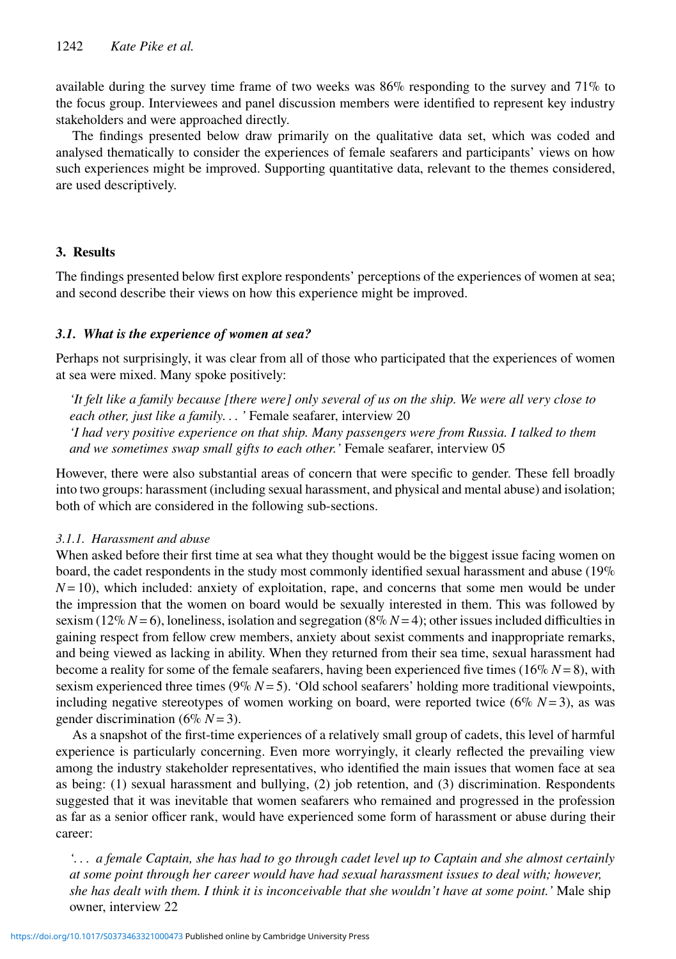available during the survey time frame of two weeks was  $86\%$  responding to the survey and  $71\%$  to the focus group. Interviewees and panel discussion members were identified to represent key industry stakeholders and were approached directly.

The findings presented below draw primarily on the qualitative data set, which was coded and analysed thematically to consider the experiences of female seafarers and participants' views on how such experiences might be improved. Supporting quantitative data, relevant to the themes considered, are used descriptively.

# **3. Results**

The findings presented below first explore respondents' perceptions of the experiences of women at sea; and second describe their views on how this experience might be improved.

## *3.1. What is the experience of women at sea?*

Perhaps not surprisingly, it was clear from all of those who participated that the experiences of women at sea were mixed. Many spoke positively:

*'It felt like a family because [there were] only several of us on the ship. We were all very close to each other, just like a family. . . '* Female seafarer, interview 20 *'I had very positive experience on that ship. Many passengers were from Russia. I talked to them*

*and we sometimes swap small gifts to each other.'* Female seafarer, interview 05 However, there were also substantial areas of concern that were specific to gender. These fell broadly

into two groups: harassment (including sexual harassment, and physical and mental abuse) and isolation; both of which are considered in the following sub-sections.

## *3.1.1. Harassment and abuse*

When asked before their first time at sea what they thought would be the biggest issue facing women on board, the cadet respondents in the study most commonly identified sexual harassment and abuse (19%  $N=10$ ), which included: anxiety of exploitation, rape, and concerns that some men would be under the impression that the women on board would be sexually interested in them. This was followed by sexism ( $12\% N=6$ ), loneliness, isolation and segregation ( $8\% N=4$ ); other issues included difficulties in gaining respect from fellow crew members, anxiety about sexist comments and inappropriate remarks, and being viewed as lacking in ability. When they returned from their sea time, sexual harassment had become a reality for some of the female seafarers, having been experienced five times (16% *N* = 8), with sexism experienced three times ( $9\% N = 5$ ). 'Old school seafarers' holding more traditional viewpoints, including negative stereotypes of women working on board, were reported twice  $(6\% N=3)$ , as was gender discrimination ( $6\% N = 3$ ).

As a snapshot of the first-time experiences of a relatively small group of cadets, this level of harmful experience is particularly concerning. Even more worryingly, it clearly reflected the prevailing view among the industry stakeholder representatives, who identified the main issues that women face at sea as being: (1) sexual harassment and bullying, (2) job retention, and (3) discrimination. Respondents suggested that it was inevitable that women seafarers who remained and progressed in the profession as far as a senior officer rank, would have experienced some form of harassment or abuse during their career:

*'. . . a female Captain, she has had to go through cadet level up to Captain and she almost certainly at some point through her career would have had sexual harassment issues to deal with; however, she has dealt with them. I think it is inconceivable that she wouldn't have at some point.'* Male ship owner, interview 22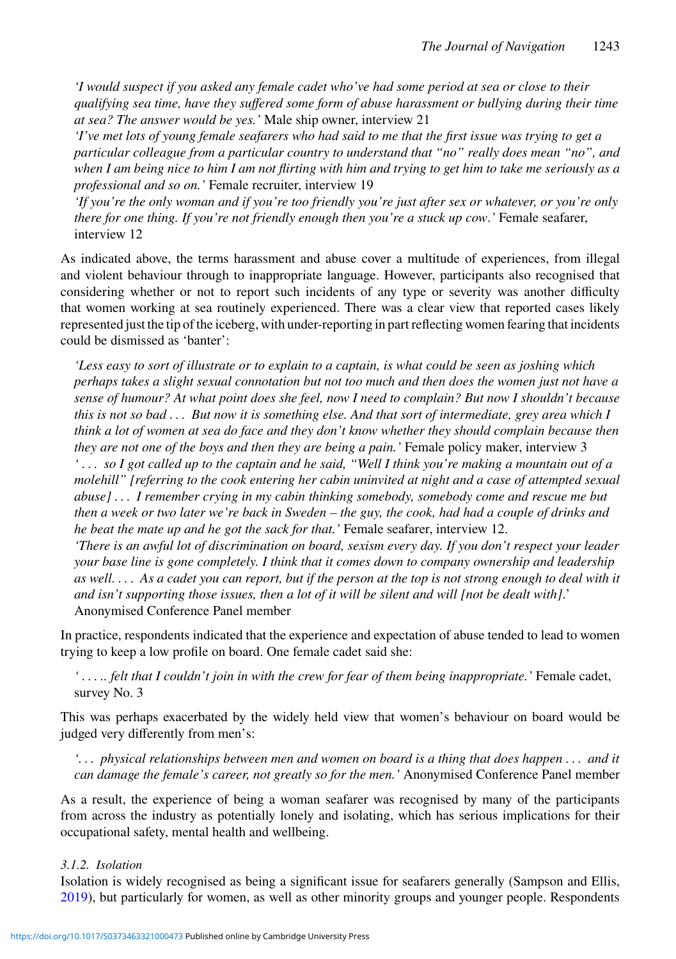*'I would suspect if you asked any female cadet who've had some period at sea or close to their qualifying sea time, have they suffered some form of abuse harassment or bullying during their time at sea? The answer would be yes.'* Male ship owner, interview 21

*'I've met lots of young female seafarers who had said to me that the first issue was trying to get a particular colleague from a particular country to understand that "no" really does mean "no", and when I am being nice to him I am not flirting with him and trying to get him to take me seriously as a professional and so on.'* Female recruiter, interview 19

*'If you're the only woman and if you're too friendly you're just after sex or whatever, or you're only there for one thing. If you're not friendly enough then you're a stuck up cow*.*'* Female seafarer, interview 12

As indicated above, the terms harassment and abuse cover a multitude of experiences, from illegal and violent behaviour through to inappropriate language. However, participants also recognised that considering whether or not to report such incidents of any type or severity was another difficulty that women working at sea routinely experienced. There was a clear view that reported cases likely represented just the tip of the iceberg, with under-reporting in part reflecting women fearing that incidents could be dismissed as 'banter':

*'Less easy to sort of illustrate or to explain to a captain, is what could be seen as joshing which perhaps takes a slight sexual connotation but not too much and then does the women just not have a sense of humour? At what point does she feel, now I need to complain? But now I shouldn't because this is not so bad . . . But now it is something else. And that sort of intermediate, grey area which I think a lot of women at sea do face and they don't know whether they should complain because then they are not one of the boys and then they are being a pain.'* Female policy maker, interview 3 *' . . . so I got called up to the captain and he said, "Well I think you're making a mountain out of a molehill" [referring to the cook entering her cabin uninvited at night and a case of attempted sexual abuse] . . . I remember crying in my cabin thinking somebody, somebody come and rescue me but then a week or two later we're back in Sweden – the guy, the cook, had had a couple of drinks and he beat the mate up and he got the sack for that.'* Female seafarer, interview 12.

*'There is an awful lot of discrimination on board, sexism every day. If you don't respect your leader your base line is gone completely. I think that it comes down to company ownership and leadership as well. . . . As a cadet you can report, but if the person at the top is not strong enough to deal with it and isn't supporting those issues, then a lot of it will be silent and will [not be dealt with]*.' Anonymised Conference Panel member

In practice, respondents indicated that the experience and expectation of abuse tended to lead to women trying to keep a low profile on board. One female cadet said she:

*' . . . .. felt that I couldn't join in with the crew for fear of them being inappropriate.'* Female cadet, survey No. 3

This was perhaps exacerbated by the widely held view that women's behaviour on board would be judged very differently from men's:

*'. . . physical relationships between men and women on board is a thing that does happen . . . and it can damage the female's career, not greatly so for the men.'* Anonymised Conference Panel member

As a result, the experience of being a woman seafarer was recognised by many of the participants from across the industry as potentially lonely and isolating, which has serious implications for their occupational safety, mental health and wellbeing.

## *3.1.2. Isolation*

Isolation is widely recognised as being a significant issue for seafarers generally (Sampson and Ellis, [2019\)](#page-12-13), but particularly for women, as well as other minority groups and younger people. Respondents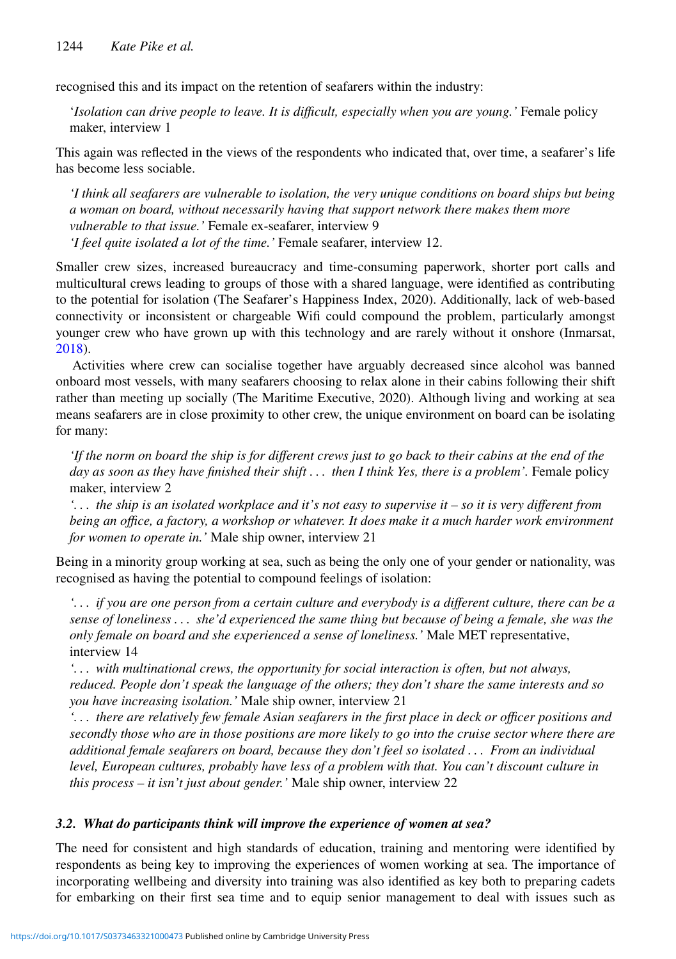recognised this and its impact on the retention of seafarers within the industry:

'*Isolation can drive people to leave. It is difficult, especially when you are young.'* Female policy maker, interview 1

This again was reflected in the views of the respondents who indicated that, over time, a seafarer's life has become less sociable.

*'I think all seafarers are vulnerable to isolation, the very unique conditions on board ships but being a woman on board, without necessarily having that support network there makes them more vulnerable to that issue.'* Female ex-seafarer, interview 9 *'I feel quite isolated a lot of the time.'* Female seafarer, interview 12.

Smaller crew sizes, increased bureaucracy and time-consuming paperwork, shorter port calls and multicultural crews leading to groups of those with a shared language, were identified as contributing to the potential for isolation (The Seafarer's Happiness Index, 2020). Additionally, lack of web-based connectivity or inconsistent or chargeable Wifi could compound the problem, particularly amongst younger crew who have grown up with this technology and are rarely without it onshore (Inmarsat, [2018\)](#page-11-14).

Activities where crew can socialise together have arguably decreased since alcohol was banned onboard most vessels, with many seafarers choosing to relax alone in their cabins following their shift rather than meeting up socially (The Maritime Executive, 2020). Although living and working at sea means seafarers are in close proximity to other crew, the unique environment on board can be isolating for many:

*'If the norm on board the ship is for different crews just to go back to their cabins at the end of the day as soon as they have finished their shift . . . then I think Yes, there is a problem'.* Female policy maker, interview 2

*'. . . the ship is an isolated workplace and it's not easy to supervise it – so it is very different from being an office, a factory, a workshop or whatever. It does make it a much harder work environment for women to operate in.'* Male ship owner, interview 21

Being in a minority group working at sea, such as being the only one of your gender or nationality, was recognised as having the potential to compound feelings of isolation:

*'. . . if you are one person from a certain culture and everybody is a different culture, there can be a sense of loneliness . . . she'd experienced the same thing but because of being a female, she was the only female on board and she experienced a sense of loneliness.'* Male MET representative, interview 14

*'. . . with multinational crews, the opportunity for social interaction is often, but not always, reduced. People don't speak the language of the others; they don't share the same interests and so you have increasing isolation.'* Male ship owner, interview 21

*'. . . there are relatively few female Asian seafarers in the first place in deck or officer positions and secondly those who are in those positions are more likely to go into the cruise sector where there are additional female seafarers on board, because they don't feel so isolated . . . From an individual level, European cultures, probably have less of a problem with that. You can't discount culture in this process – it isn't just about gender.'* Male ship owner, interview 22

## *3.2. What do participants think will improve the experience of women at sea?*

The need for consistent and high standards of education, training and mentoring were identified by respondents as being key to improving the experiences of women working at sea. The importance of incorporating wellbeing and diversity into training was also identified as key both to preparing cadets for embarking on their first sea time and to equip senior management to deal with issues such as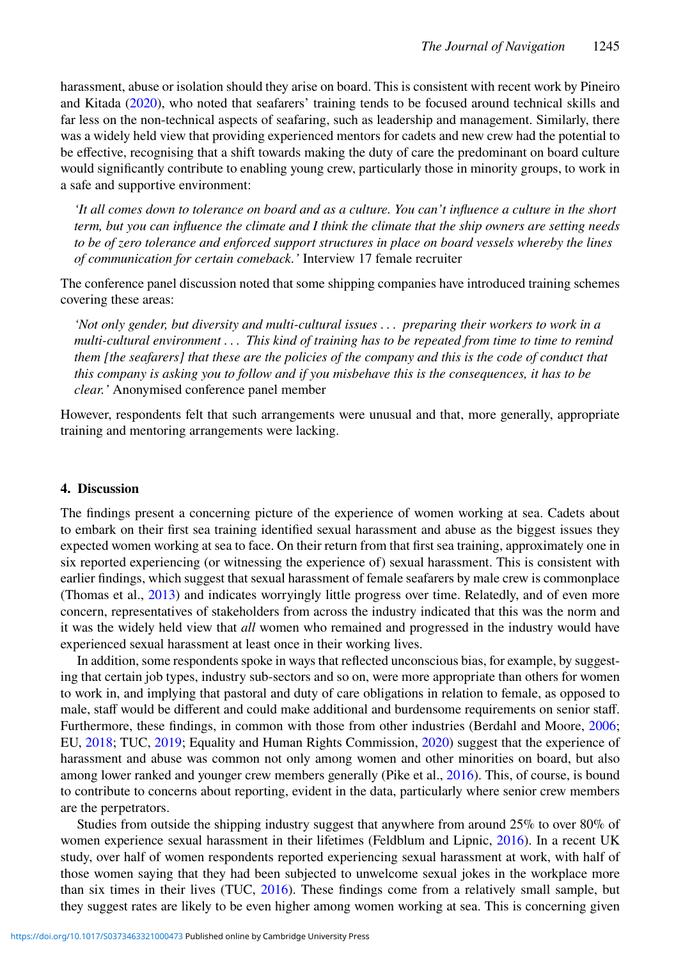harassment, abuse or isolation should they arise on board. This is consistent with recent work by Pineiro and Kitada [\(2020\)](#page-12-17), who noted that seafarers' training tends to be focused around technical skills and far less on the non-technical aspects of seafaring, such as leadership and management. Similarly, there was a widely held view that providing experienced mentors for cadets and new crew had the potential to be effective, recognising that a shift towards making the duty of care the predominant on board culture would significantly contribute to enabling young crew, particularly those in minority groups, to work in a safe and supportive environment:

*'It all comes down to tolerance on board and as a culture. You can't influence a culture in the short term, but you can influence the climate and I think the climate that the ship owners are setting needs to be of zero tolerance and enforced support structures in place on board vessels whereby the lines of communication for certain comeback.'* Interview 17 female recruiter

The conference panel discussion noted that some shipping companies have introduced training schemes covering these areas:

*'Not only gender, but diversity and multi-cultural issues . . . preparing their workers to work in a multi-cultural environment . . . This kind of training has to be repeated from time to time to remind them [the seafarers] that these are the policies of the company and this is the code of conduct that this company is asking you to follow and if you misbehave this is the consequences, it has to be clear.'* Anonymised conference panel member

However, respondents felt that such arrangements were unusual and that, more generally, appropriate training and mentoring arrangements were lacking.

#### **4. Discussion**

The findings present a concerning picture of the experience of women working at sea. Cadets about to embark on their first sea training identified sexual harassment and abuse as the biggest issues they expected women working at sea to face. On their return from that first sea training, approximately one in six reported experiencing (or witnessing the experience of) sexual harassment. This is consistent with earlier findings, which suggest that sexual harassment of female seafarers by male crew is commonplace (Thomas et al., [2013\)](#page-12-8) and indicates worryingly little progress over time. Relatedly, and of even more concern, representatives of stakeholders from across the industry indicated that this was the norm and it was the widely held view that *all* women who remained and progressed in the industry would have experienced sexual harassment at least once in their working lives.

In addition, some respondents spoke in ways that reflected unconscious bias, for example, by suggesting that certain job types, industry sub-sectors and so on, were more appropriate than others for women to work in, and implying that pastoral and duty of care obligations in relation to female, as opposed to male, staff would be different and could make additional and burdensome requirements on senior staff. Furthermore, these findings, in common with those from other industries (Berdahl and Moore, [2006;](#page-11-15) EU, [2018;](#page-11-16) TUC, [2019;](#page-12-21) Equality and Human Rights Commission, [2020\)](#page-11-17) suggest that the experience of harassment and abuse was common not only among women and other minorities on board, but also among lower ranked and younger crew members generally (Pike et al., [2016\)](#page-12-12). This, of course, is bound to contribute to concerns about reporting, evident in the data, particularly where senior crew members are the perpetrators.

Studies from outside the shipping industry suggest that anywhere from around 25% to over 80% of women experience sexual harassment in their lifetimes (Feldblum and Lipnic, [2016\)](#page-11-18). In a recent UK study, over half of women respondents reported experiencing sexual harassment at work, with half of those women saying that they had been subjected to unwelcome sexual jokes in the workplace more than six times in their lives (TUC, [2016\)](#page-12-22). These findings come from a relatively small sample, but they suggest rates are likely to be even higher among women working at sea. This is concerning given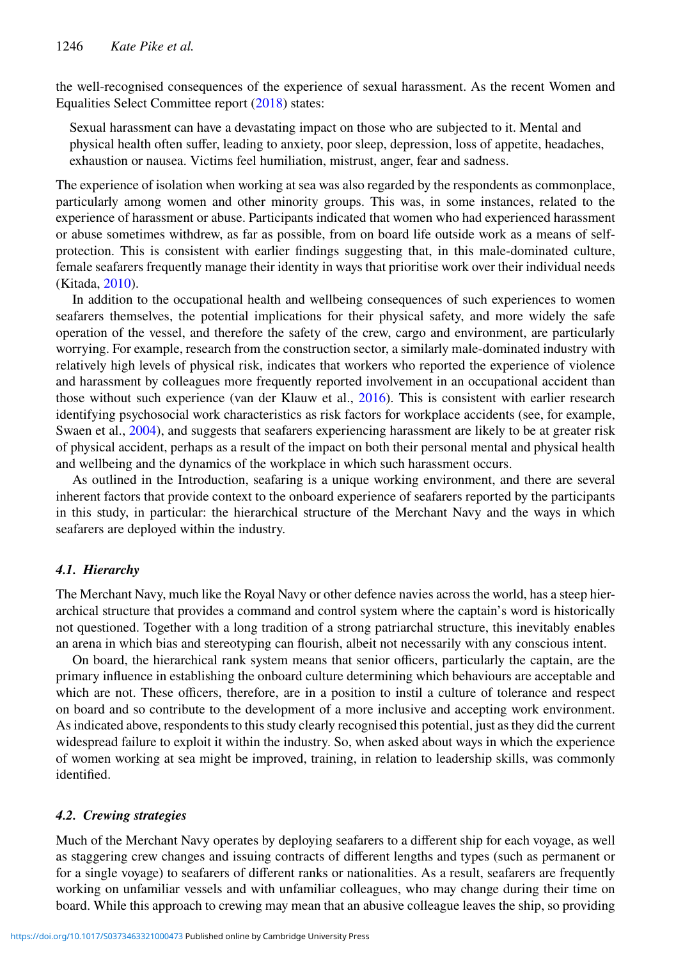the well-recognised consequences of the experience of sexual harassment. As the recent Women and Equalities Select Committee report [\(2018\)](#page-12-23) states:

Sexual harassment can have a devastating impact on those who are subjected to it. Mental and physical health often suffer, leading to anxiety, poor sleep, depression, loss of appetite, headaches, exhaustion or nausea. Victims feel humiliation, mistrust, anger, fear and sadness.

The experience of isolation when working at sea was also regarded by the respondents as commonplace, particularly among women and other minority groups. This was, in some instances, related to the experience of harassment or abuse. Participants indicated that women who had experienced harassment or abuse sometimes withdrew, as far as possible, from on board life outside work as a means of selfprotection. This is consistent with earlier findings suggesting that, in this male-dominated culture, female seafarers frequently manage their identity in ways that prioritise work over their individual needs (Kitada, [2010\)](#page-11-19).

In addition to the occupational health and wellbeing consequences of such experiences to women seafarers themselves, the potential implications for their physical safety, and more widely the safe operation of the vessel, and therefore the safety of the crew, cargo and environment, are particularly worrying. For example, research from the construction sector, a similarly male-dominated industry with relatively high levels of physical risk, indicates that workers who reported the experience of violence and harassment by colleagues more frequently reported involvement in an occupational accident than those without such experience (van der Klauw et al., [2016\)](#page-12-16). This is consistent with earlier research identifying psychosocial work characteristics as risk factors for workplace accidents (see, for example, Swaen et al., [2004\)](#page-12-15), and suggests that seafarers experiencing harassment are likely to be at greater risk of physical accident, perhaps as a result of the impact on both their personal mental and physical health and wellbeing and the dynamics of the workplace in which such harassment occurs.

As outlined in the Introduction, seafaring is a unique working environment, and there are several inherent factors that provide context to the onboard experience of seafarers reported by the participants in this study, in particular: the hierarchical structure of the Merchant Navy and the ways in which seafarers are deployed within the industry.

## *4.1. Hierarchy*

The Merchant Navy, much like the Royal Navy or other defence navies across the world, has a steep hierarchical structure that provides a command and control system where the captain's word is historically not questioned. Together with a long tradition of a strong patriarchal structure, this inevitably enables an arena in which bias and stereotyping can flourish, albeit not necessarily with any conscious intent.

On board, the hierarchical rank system means that senior officers, particularly the captain, are the primary influence in establishing the onboard culture determining which behaviours are acceptable and which are not. These officers, therefore, are in a position to instil a culture of tolerance and respect on board and so contribute to the development of a more inclusive and accepting work environment. As indicated above, respondents to this study clearly recognised this potential, just as they did the current widespread failure to exploit it within the industry. So, when asked about ways in which the experience of women working at sea might be improved, training, in relation to leadership skills, was commonly identified.

## *4.2. Crewing strategies*

Much of the Merchant Navy operates by deploying seafarers to a different ship for each voyage, as well as staggering crew changes and issuing contracts of different lengths and types (such as permanent or for a single voyage) to seafarers of different ranks or nationalities. As a result, seafarers are frequently working on unfamiliar vessels and with unfamiliar colleagues, who may change during their time on board. While this approach to crewing may mean that an abusive colleague leaves the ship, so providing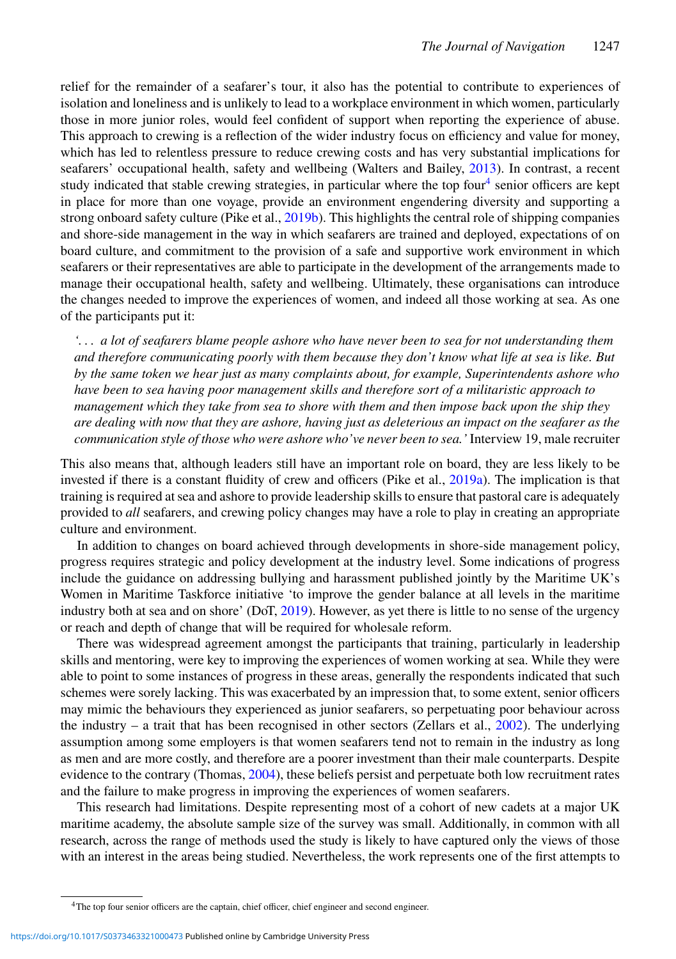relief for the remainder of a seafarer's tour, it also has the potential to contribute to experiences of isolation and loneliness and is unlikely to lead to a workplace environment in which women, particularly those in more junior roles, would feel confident of support when reporting the experience of abuse. This approach to crewing is a reflection of the wider industry focus on efficiency and value for money, which has led to relentless pressure to reduce crewing costs and has very substantial implications for seafarers' occupational health, safety and wellbeing (Walters and Bailey, [2013\)](#page-12-24). In contrast, a recent study indicated that stable crewing strategies, in particular where the top four<sup>[4](#page-9-0)</sup> senior officers are kept in place for more than one voyage, provide an environment engendering diversity and supporting a strong onboard safety culture (Pike et al., [2019b\)](#page-12-25). This highlights the central role of shipping companies and shore-side management in the way in which seafarers are trained and deployed, expectations of on board culture, and commitment to the provision of a safe and supportive work environment in which seafarers or their representatives are able to participate in the development of the arrangements made to manage their occupational health, safety and wellbeing. Ultimately, these organisations can introduce the changes needed to improve the experiences of women, and indeed all those working at sea. As one of the participants put it:

*'. . . a lot of seafarers blame people ashore who have never been to sea for not understanding them and therefore communicating poorly with them because they don't know what life at sea is like. But by the same token we hear just as many complaints about, for example, Superintendents ashore who have been to sea having poor management skills and therefore sort of a militaristic approach to management which they take from sea to shore with them and then impose back upon the ship they are dealing with now that they are ashore, having just as deleterious an impact on the seafarer as the communication style of those who were ashore who've never been to sea.'* Interview 19, male recruiter

This also means that, although leaders still have an important role on board, they are less likely to be invested if there is a constant fluidity of crew and officers (Pike et al., [2019a\)](#page-12-26). The implication is that training is required at sea and ashore to provide leadership skills to ensure that pastoral care is adequately provided to *all* seafarers, and crewing policy changes may have a role to play in creating an appropriate culture and environment.

In addition to changes on board achieved through developments in shore-side management policy, progress requires strategic and policy development at the industry level. Some indications of progress include the guidance on addressing bullying and harassment published jointly by the Maritime UK's Women in Maritime Taskforce initiative 'to improve the gender balance at all levels in the maritime industry both at sea and on shore' (DoT, [2019\)](#page-11-11). However, as yet there is little to no sense of the urgency or reach and depth of change that will be required for wholesale reform.

There was widespread agreement amongst the participants that training, particularly in leadership skills and mentoring, were key to improving the experiences of women working at sea. While they were able to point to some instances of progress in these areas, generally the respondents indicated that such schemes were sorely lacking. This was exacerbated by an impression that, to some extent, senior officers may mimic the behaviours they experienced as junior seafarers, so perpetuating poor behaviour across the industry – a trait that has been recognised in other sectors (Zellars et al., [2002\)](#page-13-2). The underlying assumption among some employers is that women seafarers tend not to remain in the industry as long as men and are more costly, and therefore are a poorer investment than their male counterparts. Despite evidence to the contrary (Thomas, [2004\)](#page-12-27), these beliefs persist and perpetuate both low recruitment rates and the failure to make progress in improving the experiences of women seafarers.

This research had limitations. Despite representing most of a cohort of new cadets at a major UK maritime academy, the absolute sample size of the survey was small. Additionally, in common with all research, across the range of methods used the study is likely to have captured only the views of those with an interest in the areas being studied. Nevertheless, the work represents one of the first attempts to

<span id="page-9-0"></span><sup>4</sup>The top four senior officers are the captain, chief officer, chief engineer and second engineer.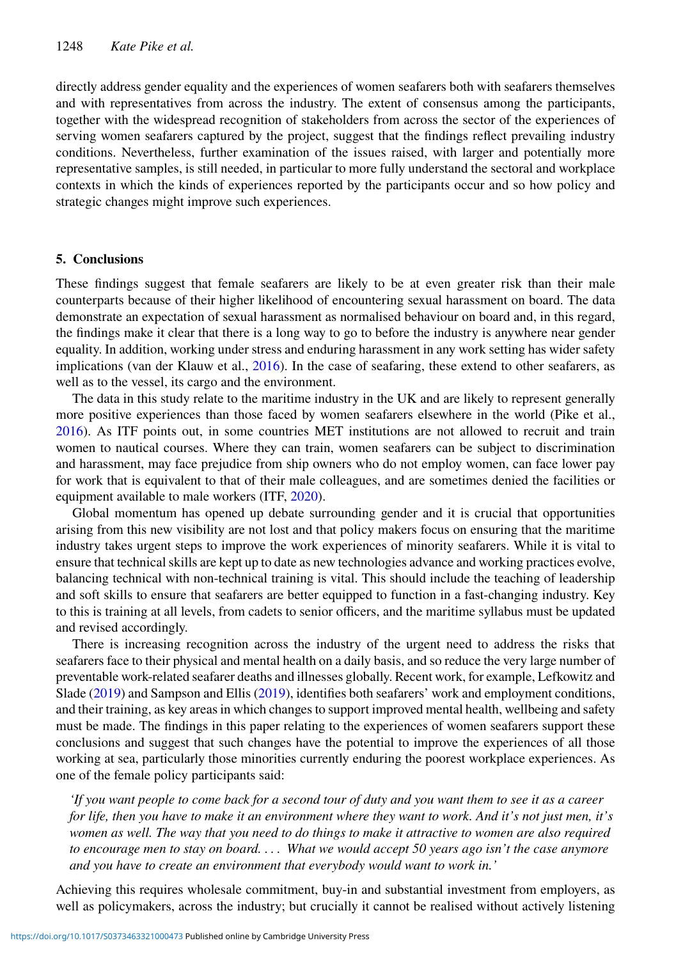directly address gender equality and the experiences of women seafarers both with seafarers themselves and with representatives from across the industry. The extent of consensus among the participants, together with the widespread recognition of stakeholders from across the sector of the experiences of serving women seafarers captured by the project, suggest that the findings reflect prevailing industry conditions. Nevertheless, further examination of the issues raised, with larger and potentially more representative samples, is still needed, in particular to more fully understand the sectoral and workplace contexts in which the kinds of experiences reported by the participants occur and so how policy and strategic changes might improve such experiences.

#### **5. Conclusions**

These findings suggest that female seafarers are likely to be at even greater risk than their male counterparts because of their higher likelihood of encountering sexual harassment on board. The data demonstrate an expectation of sexual harassment as normalised behaviour on board and, in this regard, the findings make it clear that there is a long way to go to before the industry is anywhere near gender equality. In addition, working under stress and enduring harassment in any work setting has wider safety implications (van der Klauw et al., [2016\)](#page-12-16). In the case of seafaring, these extend to other seafarers, as well as to the vessel, its cargo and the environment.

The data in this study relate to the maritime industry in the UK and are likely to represent generally more positive experiences than those faced by women seafarers elsewhere in the world (Pike et al., [2016\)](#page-12-12). As ITF points out, in some countries MET institutions are not allowed to recruit and train women to nautical courses. Where they can train, women seafarers can be subject to discrimination and harassment, may face prejudice from ship owners who do not employ women, can face lower pay for work that is equivalent to that of their male colleagues, and are sometimes denied the facilities or equipment available to male workers (ITF, [2020\)](#page-11-20).

Global momentum has opened up debate surrounding gender and it is crucial that opportunities arising from this new visibility are not lost and that policy makers focus on ensuring that the maritime industry takes urgent steps to improve the work experiences of minority seafarers. While it is vital to ensure that technical skills are kept up to date as new technologies advance and working practices evolve, balancing technical with non-technical training is vital. This should include the teaching of leadership and soft skills to ensure that seafarers are better equipped to function in a fast-changing industry. Key to this is training at all levels, from cadets to senior officers, and the maritime syllabus must be updated and revised accordingly.

There is increasing recognition across the industry of the urgent need to address the risks that seafarers face to their physical and mental health on a daily basis, and so reduce the very large number of preventable work-related seafarer deaths and illnesses globally. Recent work, for example, Lefkowitz and Slade [\(2019\)](#page-12-11) and Sampson and Ellis [\(2019\)](#page-12-13), identifies both seafarers' work and employment conditions, and their training, as key areas in which changes to support improved mental health, wellbeing and safety must be made. The findings in this paper relating to the experiences of women seafarers support these conclusions and suggest that such changes have the potential to improve the experiences of all those working at sea, particularly those minorities currently enduring the poorest workplace experiences. As one of the female policy participants said:

*'If you want people to come back for a second tour of duty and you want them to see it as a career for life, then you have to make it an environment where they want to work. And it's not just men, it's women as well. The way that you need to do things to make it attractive to women are also required to encourage men to stay on board. . . . What we would accept 50 years ago isn't the case anymore and you have to create an environment that everybody would want to work in.'*

Achieving this requires wholesale commitment, buy-in and substantial investment from employers, as well as policymakers, across the industry; but crucially it cannot be realised without actively listening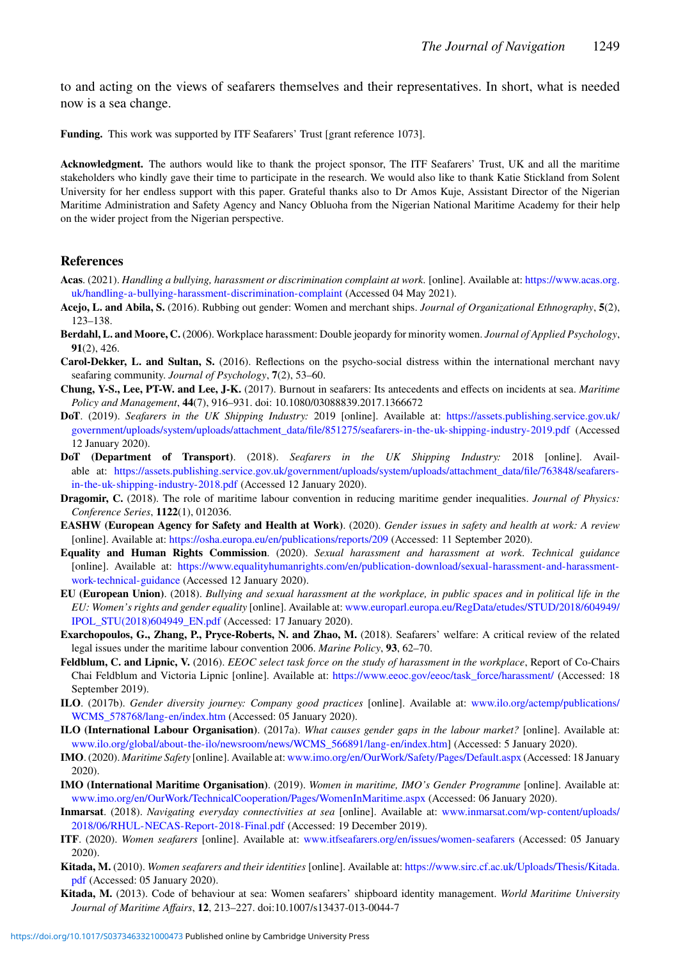to and acting on the views of seafarers themselves and their representatives. In short, what is needed now is a sea change.

**Funding.** This work was supported by ITF Seafarers' Trust [grant reference 1073].

**Acknowledgment.** The authors would like to thank the project sponsor, The ITF Seafarers' Trust, UK and all the maritime stakeholders who kindly gave their time to participate in the research. We would also like to thank Katie Stickland from Solent University for her endless support with this paper. Grateful thanks also to Dr Amos Kuje, Assistant Director of the Nigerian Maritime Administration and Safety Agency and Nancy Obluoha from the Nigerian National Maritime Academy for their help on the wider project from the Nigerian perspective.

#### **References**

- <span id="page-11-9"></span>**Acas**. (2021). *Handling a bullying, harassment or discrimination complaint at work.* [online]. Available at: [https://www.acas.org.](https://www.acas.org.uk/handling-a-bullying-harassment-discrimination-complaint) [uk/handling-a-bullying-harassment-discrimination-complaint](https://www.acas.org.uk/handling-a-bullying-harassment-discrimination-complaint) (Accessed 04 May 2021).
- <span id="page-11-5"></span>**Acejo, L. and Abila, S.** (2016). Rubbing out gender: Women and merchant ships. *Journal of Organizational Ethnography*, **5**(2), 123–138.
- <span id="page-11-15"></span>**Berdahl, L. and Moore, C.** (2006). Workplace harassment: Double jeopardy for minority women. *Journal of Applied Psychology*, **91**(2), 426.
- <span id="page-11-7"></span>**Carol-Dekker, L. and Sultan, S.** (2016). Reflections on the psycho-social distress within the international merchant navy seafaring community. *Journal of Psychology*, **7**(2), 53–60.
- <span id="page-11-8"></span>**Chung, Y-S., Lee, PT-W. and Lee, J-K.** (2017). Burnout in seafarers: Its antecedents and effects on incidents at sea. *Maritime Policy and Management*, **44**(7), 916–931. doi: 10.1080/03088839.2017.1366672
- <span id="page-11-11"></span>**DoT**. (2019). *Seafarers in the UK Shipping Industry:* 2019 [online]. Available at: [https://assets.publishing.service.gov.uk/](https://assets.publishing.service.gov.uk/government/uploads/system/uploads/attachment_data/file/851275/seafarers-in-the-uk-shipping-industry-2019.pdf) [government/uploads/system/uploads/attachment\\_data/file/851275/seafarers-in-the-uk-shipping-industry-2019.pdf](https://assets.publishing.service.gov.uk/government/uploads/system/uploads/attachment_data/file/851275/seafarers-in-the-uk-shipping-industry-2019.pdf) (Accessed 12 January 2020).
- <span id="page-11-10"></span>**DoT (Department of Transport)**. (2018). *Seafarers in the UK Shipping Industry:* 2018 [online]. Available at: [https://assets.publishing.service.gov.uk/government/uploads/system/uploads/attachment\\_data/file/763848/seafarers](https://assets.publishing.service.gov.uk/government/uploads/system/uploads/attachment_data/file/763848/seafarers-in-the-uk-shipping-industry-2018.pdf)[in-the-uk-shipping-industry-2018.pdf](https://assets.publishing.service.gov.uk/government/uploads/system/uploads/attachment_data/file/763848/seafarers-in-the-uk-shipping-industry-2018.pdf) (Accessed 12 January 2020).
- <span id="page-11-13"></span>**Dragomir, C.** (2018). The role of maritime labour convention in reducing maritime gender inequalities. *Journal of Physics: Conference Series*, **1122**(1), 012036.
- <span id="page-11-1"></span>**EASHW (European Agency for Safety and Health at Work)**. (2020). *Gender issues in safety and health at work: A review* [online]. Available at: <https://osha.europa.eu/en/publications/reports/209> (Accessed: 11 September 2020).
- <span id="page-11-17"></span>**Equality and Human Rights Commission**. (2020). *Sexual harassment and harassment at work. Technical guidance* [online]. Available at: [https://www.equalityhumanrights.com/en/publication-download/sexual-harassment-and-harassment](https://www.equalityhumanrights.com/en/publication-download/sexual-harassment-and-harassment-work-technical-guidance)[work-technical-guidance](https://www.equalityhumanrights.com/en/publication-download/sexual-harassment-and-harassment-work-technical-guidance) (Accessed 12 January 2020).
- <span id="page-11-16"></span>**EU (European Union)**. (2018). *Bullying and sexual harassment at the workplace, in public spaces and in political life in the EU: Women's rights and gender equality* [online]. Available at: [www.europarl.europa.eu/RegData/etudes/STUD/2018/604949/](www.europarl.europa.eu/RegData/etudes/STUD/2018/604949/IPOL_STU(2018)604949_EN.pdf) [IPOL\\_STU\(2018\)604949\\_EN.pdf](www.europarl.europa.eu/RegData/etudes/STUD/2018/604949/IPOL_STU(2018)604949_EN.pdf) (Accessed: 17 January 2020).
- <span id="page-11-12"></span>**Exarchopoulos, G., Zhang, P., Pryce-Roberts, N. and Zhao, M.** (2018). Seafarers' welfare: A critical review of the related legal issues under the maritime labour convention 2006. *Marine Policy*, **93**, 62–70.
- <span id="page-11-18"></span>**Feldblum, C. and Lipnic, V.** (2016). *EEOC select task force on the study of harassment in the workplace*, Report of Co-Chairs Chai Feldblum and Victoria Lipnic [online]. Available at: [https://www.eeoc.gov/eeoc/task\\_force/harassment/](https://www.eeoc.gov/eeoc/task_force/harassment/) (Accessed: 18 September 2019).
- <span id="page-11-2"></span>**ILO**. (2017b). *Gender diversity journey: Company good practices* [online]. Available at: [www.ilo.org/actemp/publications/](www.ilo.org/actemp/publications/WCMS_578768/lang-en/index.htm) WCMS 578768/lang-en/index.htm (Accessed: 05 January 2020).
- <span id="page-11-0"></span>**ILO (International Labour Organisation)**. (2017a). *What causes gender gaps in the labour market?* [online]. Available at: [www.ilo.org/global/about-the-ilo/newsroom/news/WCMS\\_566891/lang-en/index.htm\]](www.ilo.org/global/about-the-ilo/newsroom/news/WCMS_566891/lang-en/index.htm) (Accessed: 5 January 2020).
- <span id="page-11-6"></span>**IMO**. (2020). *Maritime Safety* [online]. Available at: <www.imo.org/en/OurWork/Safety/Pages/Default.aspx> (Accessed: 18 January 2020).
- <span id="page-11-3"></span>**IMO (International Maritime Organisation)**. (2019). *Women in maritime, IMO's Gender Programme* [online]. Available at: <www.imo.org/en/OurWork/TechnicalCooperation/Pages/WomenInMaritime.aspx> (Accessed: 06 January 2020).
- <span id="page-11-14"></span>**Inmarsat**. (2018). *Navigating everyday connectivities at sea* [online]. Available at: [www.inmarsat.com/wp-content/uploads/](www.inmarsat.com/wp-content/uploads/2018/06/RHUL-NECAS-Report-2018-Final.pdf) [2018/06/RHUL-NECAS-Report-2018-Final.pdf](www.inmarsat.com/wp-content/uploads/2018/06/RHUL-NECAS-Report-2018-Final.pdf) (Accessed: 19 December 2019).
- <span id="page-11-20"></span>**ITF**. (2020). *Women seafarers* [online]. Available at: <www.itfseafarers.org/en/issues/women-seafarers> (Accessed: 05 January 2020).
- <span id="page-11-19"></span>**Kitada, M.** (2010). *Women seafarers and their identities* [online]. Available at: [https://www.sirc.cf.ac.uk/Uploads/Thesis/Kitada.](https://www.sirc.cf.ac.uk/Uploads/Thesis/Kitada.pdf) [pdf](https://www.sirc.cf.ac.uk/Uploads/Thesis/Kitada.pdf) (Accessed: 05 January 2020).
- <span id="page-11-4"></span>**Kitada, M.** (2013). Code of behaviour at sea: Women seafarers' shipboard identity management. *World Maritime University Journal of Maritime Affairs*, **12**, 213–227. doi:10.1007/s13437-013-0044-7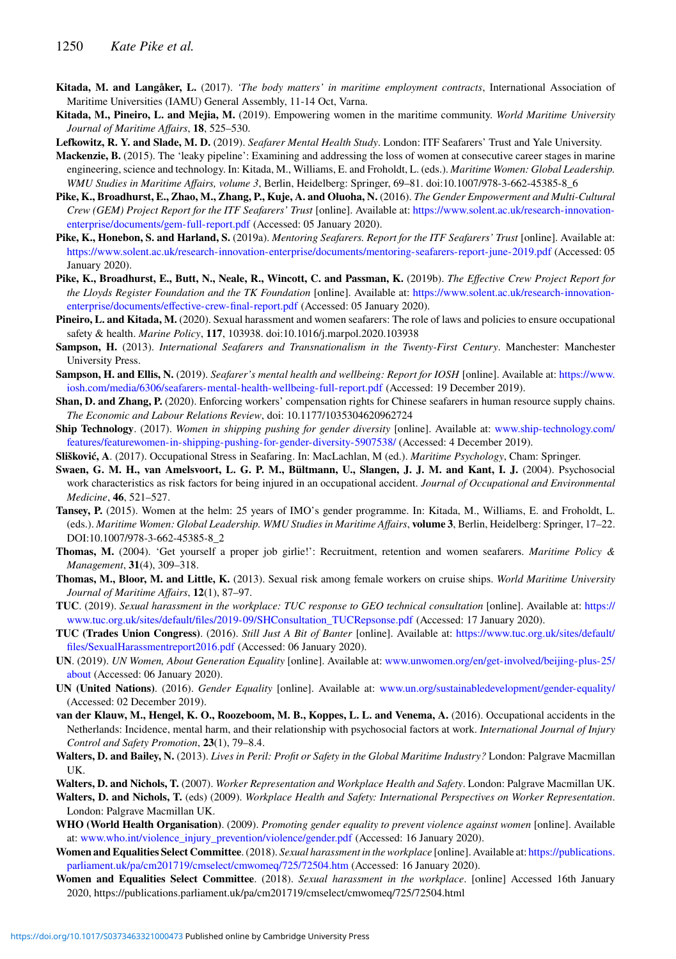- <span id="page-12-9"></span>**Kitada, M. and Langåker, L.** (2017). *'The body matters' in maritime employment contracts*, International Association of Maritime Universities (IAMU) General Assembly, 11-14 Oct, Varna.
- <span id="page-12-3"></span>**Kitada, M., Pineiro, L. and Mejia, M.** (2019). Empowering women in the maritime community. *World Maritime University Journal of Maritime Affairs*, **18**, 525–530.
- <span id="page-12-11"></span>**Lefkowitz, R. Y. and Slade, M. D.** (2019). *Seafarer Mental Health Study*. London: ITF Seafarers' Trust and Yale University.
- <span id="page-12-6"></span>**Mackenzie, B.** (2015). The 'leaky pipeline': Examining and addressing the loss of women at consecutive career stages in marine engineering, science and technology. In: Kitada, M., Williams, E. and Froholdt, L. (eds.). *Maritime Women: Global Leadership. WMU Studies in Maritime Affairs, volume 3*, Berlin, Heidelberg: Springer, 69–81. doi:10.1007/978-3-662-45385-8\_6
- <span id="page-12-12"></span>**Pike, K., Broadhurst, E., Zhao, M., Zhang, P., Kuje, A. and Oluoha, N.** (2016). *The Gender Empowerment and Multi-Cultural Crew (GEM) Project Report for the ITF Seafarers' Trust* [online]. Available at: [https://www.solent.ac.uk/research-innovation](https://www.solent.ac.uk/research-innovation-enterprise/documents/gem-full-report.pdf)[enterprise/documents/gem-full-report.pdf](https://www.solent.ac.uk/research-innovation-enterprise/documents/gem-full-report.pdf) (Accessed: 05 January 2020).
- <span id="page-12-26"></span>**Pike, K., Honebon, S. and Harland, S.** (2019a). *Mentoring Seafarers. Report for the ITF Seafarers' Trust* [online]. Available at: <https://www.solent.ac.uk/research-innovation-enterprise/documents/mentoring-seafarers-report-june-2019.pdf> (Accessed: 05 January 2020).
- <span id="page-12-25"></span>**Pike, K., Broadhurst, E., Butt, N., Neale, R., Wincott, C. and Passman, K.** (2019b). *The Effective Crew Project Report for the Lloyds Register Foundation and the TK Foundation* [online]. Available at: [https://www.solent.ac.uk/research-innovation](https://www.solent.ac.uk/research-innovation-enterprise/documents/effective-crew-final-report.pdf)[enterprise/documents/effective-crew-final-report.pdf](https://www.solent.ac.uk/research-innovation-enterprise/documents/effective-crew-final-report.pdf) (Accessed: 05 January 2020).
- <span id="page-12-17"></span>**Pineiro, L. and Kitada, M.** (2020). Sexual harassment and women seafarers: The role of laws and policies to ensure occupational safety & health. *Marine Policy*, **117**, 103938. doi:10.1016/j.marpol.2020.103938
- <span id="page-12-7"></span>**Sampson, H.** (2013). *International Seafarers and Transnationalism in the Twenty-First Century*. Manchester: Manchester University Press.
- <span id="page-12-13"></span>**Sampson, H. and Ellis, N.** (2019). *Seafarer's mental health and wellbeing: Report for IOSH* [online]. Available at: [https://www.](https://www.iosh.com/media/6306/seafarers-mental-health-wellbeing-full-report.pdf) [iosh.com/media/6306/seafarers-mental-health-wellbeing-full-report.pdf](https://www.iosh.com/media/6306/seafarers-mental-health-wellbeing-full-report.pdf) (Accessed: 19 December 2019).
- <span id="page-12-18"></span>**Shan, D. and Zhang, P.** (2020). Enforcing workers' compensation rights for Chinese seafarers in human resource supply chains. *The Economic and Labour Relations Review*, doi: 10.1177/1035304620962724
- <span id="page-12-5"></span>**Ship Technology**. (2017). *Women in shipping pushing for gender diversity* [online]. Available at: [www.ship-technology.com/](www.ship-technology.com/features/featurewomen-in-shipping-pushing-for-gender-diversity-5907538/) [features/featurewomen-in-shipping-pushing-for-gender-diversity-5907538/](www.ship-technology.com/features/featurewomen-in-shipping-pushing-for-gender-diversity-5907538/) (Accessed: 4 December 2019).
- <span id="page-12-10"></span>**Slišković, A**. (2017). Occupational Stress in Seafaring. In: MacLachlan, M (ed.). *Maritime Psychology*, Cham: Springer.
- <span id="page-12-15"></span>**Swaen, G. M. H., van Amelsvoort, L. G. P. M., Bültmann, U., Slangen, J. J. M. and Kant, I. J.** (2004). Psychosocial work characteristics as risk factors for being injured in an occupational accident. *Journal of Occupational and Environmental Medicine*, **46**, 521–527.
- <span id="page-12-4"></span>**Tansey, P.** (2015). Women at the helm: 25 years of IMO's gender programme. In: Kitada, M., Williams, E. and Froholdt, L. (eds.). *Maritime Women: Global Leadership. WMU Studies in Maritime Affairs*, **volume 3**, Berlin, Heidelberg: Springer, 17–22. DOI:10.1007/978-3-662-45385-8\_2
- <span id="page-12-27"></span>**Thomas, M.** (2004). 'Get yourself a proper job girlie!': Recruitment, retention and women seafarers. *Maritime Policy & Management*, **31**(4), 309–318.
- <span id="page-12-8"></span>**Thomas, M., Bloor, M. and Little, K.** (2013). Sexual risk among female workers on cruise ships. *World Maritime University Journal of Maritime Affairs*, **12**(1), 87–97.
- <span id="page-12-21"></span>**TUC**. (2019). *Sexual harassment in the workplace: TUC response to GEO technical consultation* [online]. Available at: [https://](https://www.tuc.org.uk/sites/default/files/2019-09/SHConsultation_TUCRepsonse.pdf) [www.tuc.org.uk/sites/default/files/2019-09/SHConsultation\\_TUCRepsonse.pdf](https://www.tuc.org.uk/sites/default/files/2019-09/SHConsultation_TUCRepsonse.pdf) (Accessed: 17 January 2020).
- <span id="page-12-22"></span>**TUC (Trades Union Congress)**. (2016). *Still Just A Bit of Banter* [online]. Available at: [https://www.tuc.org.uk/sites/default/](https://www.tuc.org.uk/sites/default/files/SexualHarassmentreport2016.pdf) [files/SexualHarassmentreport2016.pdf](https://www.tuc.org.uk/sites/default/files/SexualHarassmentreport2016.pdf) (Accessed: 06 January 2020).
- <span id="page-12-2"></span>**UN**. (2019). *UN Women, About Generation Equality* [online]. Available at: [www.unwomen.org/en/get-involved/beijing-plus-25/](www.unwomen.org/en/get-involved/beijing-plus-25/about) [about](www.unwomen.org/en/get-involved/beijing-plus-25/about) (Accessed: 06 January 2020).
- <span id="page-12-1"></span>**UN (United Nations)**. (2016). *Gender Equality* [online]. Available at: <www.un.org/sustainabledevelopment/gender-equality/> (Accessed: 02 December 2019).
- <span id="page-12-16"></span>**van der Klauw, M., Hengel, K. O., Roozeboom, M. B., Koppes, L. L. and Venema, A.** (2016). Occupational accidents in the Netherlands: Incidence, mental harm, and their relationship with psychosocial factors at work. *International Journal of Injury Control and Safety Promotion*, **23**(1), 79–8.4.
- <span id="page-12-24"></span>**Walters, D. and Bailey, N.** (2013). *Lives in Peril: Profit or Safety in the Global Maritime Industry?* London: Palgrave Macmillan UK.
- <span id="page-12-19"></span>**Walters, D. and Nichols, T.** (2007). *Worker Representation and Workplace Health and Safety*. London: Palgrave Macmillan UK.
- <span id="page-12-20"></span>**Walters, D. and Nichols, T.** (eds) (2009). *Workplace Health and Safety: International Perspectives on Worker Representation*. London: Palgrave Macmillan UK.
- <span id="page-12-0"></span>**WHO (World Health Organisation)**. (2009). *Promoting gender equality to prevent violence against women* [online]. Available at: [www.who.int/violence\\_injury\\_prevention/violence/gender.pdf](www.who.int/violence_injury_prevention/violence/gender.pdf) (Accessed: 16 January 2020).
- <span id="page-12-14"></span>**Women and Equalities Select Committee**. (2018). *Sexual harassment in the workplace* [online]. Available at: [https://publications.](https://publications.parliament.uk/pa/cm201719/cmselect/cmwomeq/725/72504.htm) [parliament.uk/pa/cm201719/cmselect/cmwomeq/725/72504.htm](https://publications.parliament.uk/pa/cm201719/cmselect/cmwomeq/725/72504.htm) (Accessed: 16 January 2020).
- <span id="page-12-23"></span>**Women and Equalities Select Committee**. (2018). *Sexual harassment in the workplace*. [online] Accessed 16th January 2020, https://publications.parliament.uk/pa/cm201719/cmselect/cmwomeq/725/72504.html